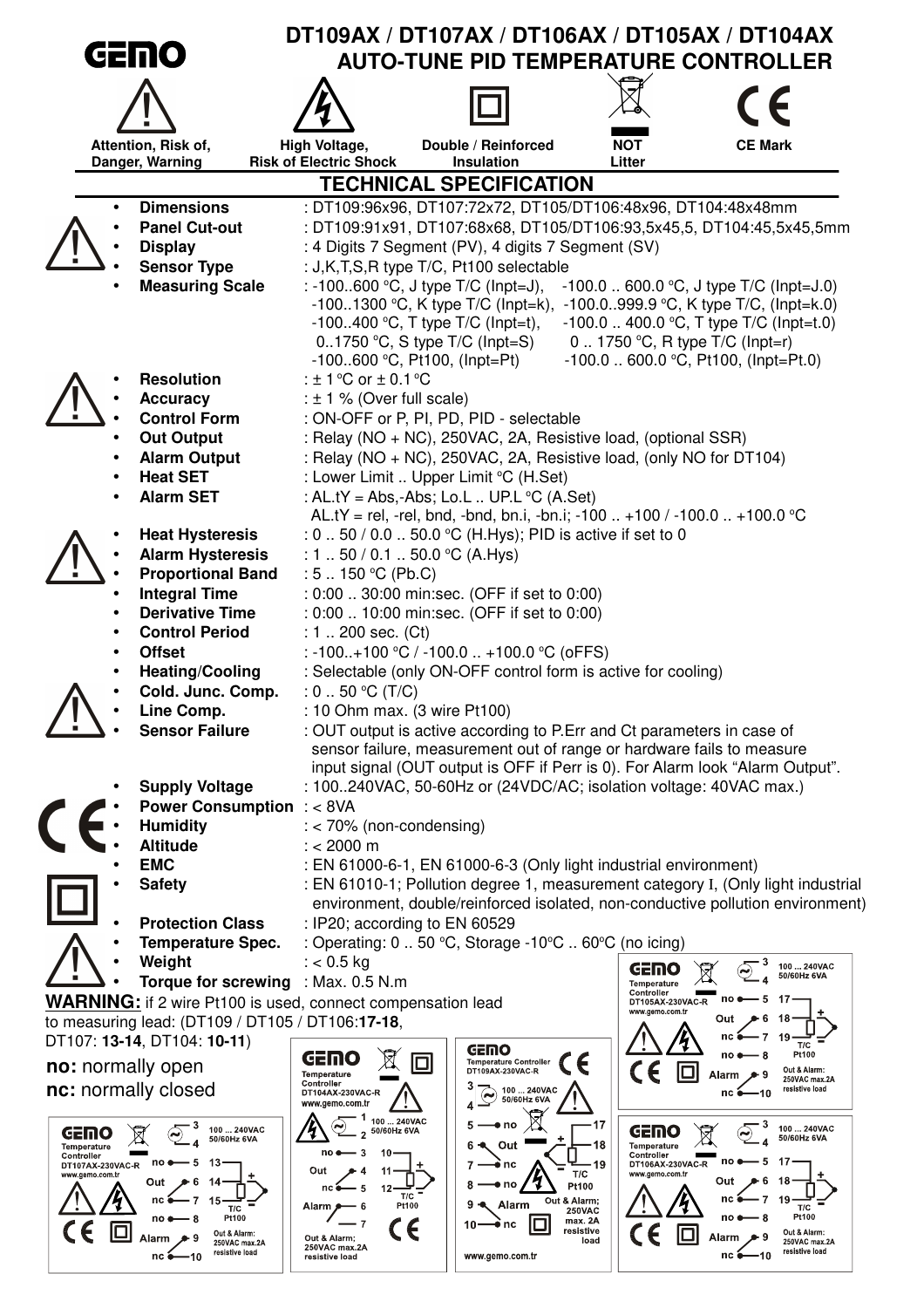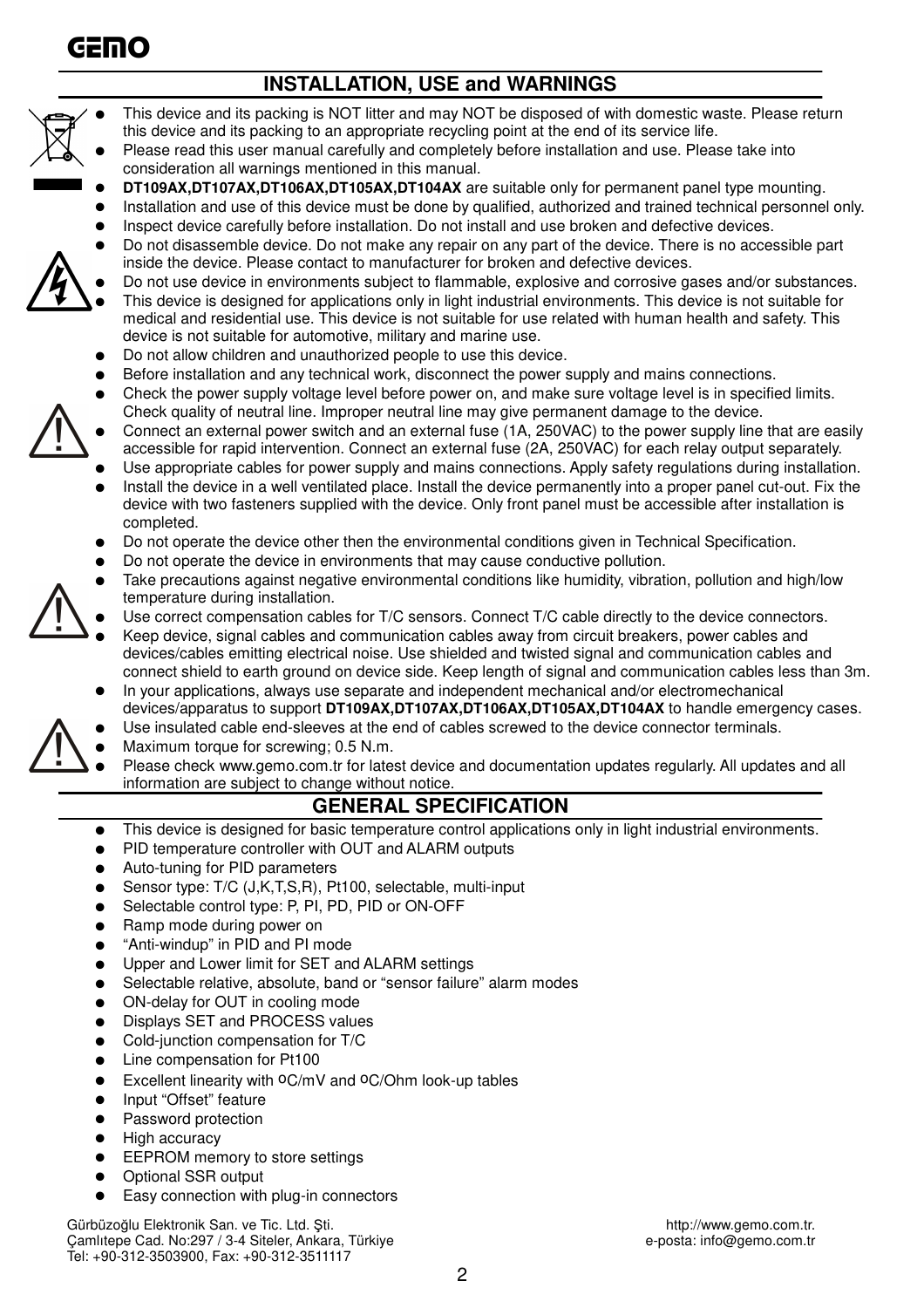

## **INSTALLATION, USE and WARNINGS**



- This device and its packing is NOT litter and may NOT be disposed of with domestic waste. Please return this device and its packing to an appropriate recycling point at the end of its service life.
- Please read this user manual carefully and completely before installation and use. Please take into consideration all warnings mentioned in this manual.
- **DT109AX,DT107AX,DT106AX,DT105AX,DT104AX** are suitable only for permanent panel type mounting.
- Installation and use of this device must be done by qualified, authorized and trained technical personnel only. Inspect device carefully before installation. Do not install and use broken and defective devices.
- Do not disassemble device. Do not make any repair on any part of the device. There is no accessible part
- inside the device. Please contact to manufacturer for broken and defective devices.
- Do not use device in environments subject to flammable, explosive and corrosive gases and/or substances. This device is designed for applications only in light industrial environments. This device is not suitable for medical and residential use. This device is not suitable for use related with human health and safety. This device is not suitable for automotive, military and marine use.
- Do not allow children and unauthorized people to use this device.
- Before installation and any technical work, disconnect the power supply and mains connections.
- Check the power supply voltage level before power on, and make sure voltage level is in specified limits. Check quality of neutral line. Improper neutral line may give permanent damage to the device.
- Connect an external power switch and an external fuse (1A, 250VAC) to the power supply line that are easily accessible for rapid intervention. Connect an external fuse (2A, 250VAC) for each relay output separately.
- Use appropriate cables for power supply and mains connections. Apply safety regulations during installation.
- Install the device in a well ventilated place. Install the device permanently into a proper panel cut-out. Fix the device with two fasteners supplied with the device. Only front panel must be accessible after installation is completed.
- Do not operate the device other then the environmental conditions given in Technical Specification.
- Do not operate the device in environments that may cause conductive pollution.
- Take precautions against negative environmental conditions like humidity, vibration, pollution and high/low temperature during installation.
- Use correct compensation cables for T/C sensors. Connect T/C cable directly to the device connectors.
- Keep device, signal cables and communication cables away from circuit breakers, power cables and devices/cables emitting electrical noise. Use shielded and twisted signal and communication cables and connect shield to earth ground on device side. Keep length of signal and communication cables less than 3m.
- In your applications, always use separate and independent mechanical and/or electromechanical devices/apparatus to support **DT109AX,DT107AX,DT106AX,DT105AX,DT104AX** to handle emergency cases.
- Use insulated cable end-sleeves at the end of cables screwed to the device connector terminals.
- Maximum torque for screwing; 0.5 N.m.
	- Please check www.gemo.com.tr for latest device and documentation updates regularly. All updates and all information are subject to change without notice.

### **GENERAL SPECIFICATION**

- This device is designed for basic temperature control applications only in light industrial environments.
- PID temperature controller with OUT and ALARM outputs
- Auto-tuning for PID parameters
- Sensor type: T/C (J,K,T,S,R), Pt100, selectable, multi-input
- Selectable control type: P, PI, PD, PID or ON-OFF
- Ramp mode during power on
- "Anti-windup" in PID and PI mode
- Upper and Lower limit for SET and ALARM settings
- Selectable relative, absolute, band or "sensor failure" alarm modes
- ON-delay for OUT in cooling mode
- Displays SET and PROCESS values
- Cold-junction compensation for T/C
- Line compensation for Pt100
- Excellent linearity with  $O C/MV$  and  $O C/O$ hm look-up tables
- Input "Offset" feature
- Password protection
- **High accuracy**
- EEPROM memory to store settings
- Optional SSR output
- Easy connection with plug-in connectors

Gürbüzoğlu Elektronik San. ve Tic. Ltd. Şti.<br>Camlıtepe Cad. No:297 / 3-4 Siteler, Ankara, Türkiye entiklerinin ve altına ve altı sonucu e-posta: info@gemo.com.tr Camlıtepe Cad. No:297 / 3-4 Siteler, Ankara, Türkiye Tel: +90-312-3503900, Fax: +90-312-3511117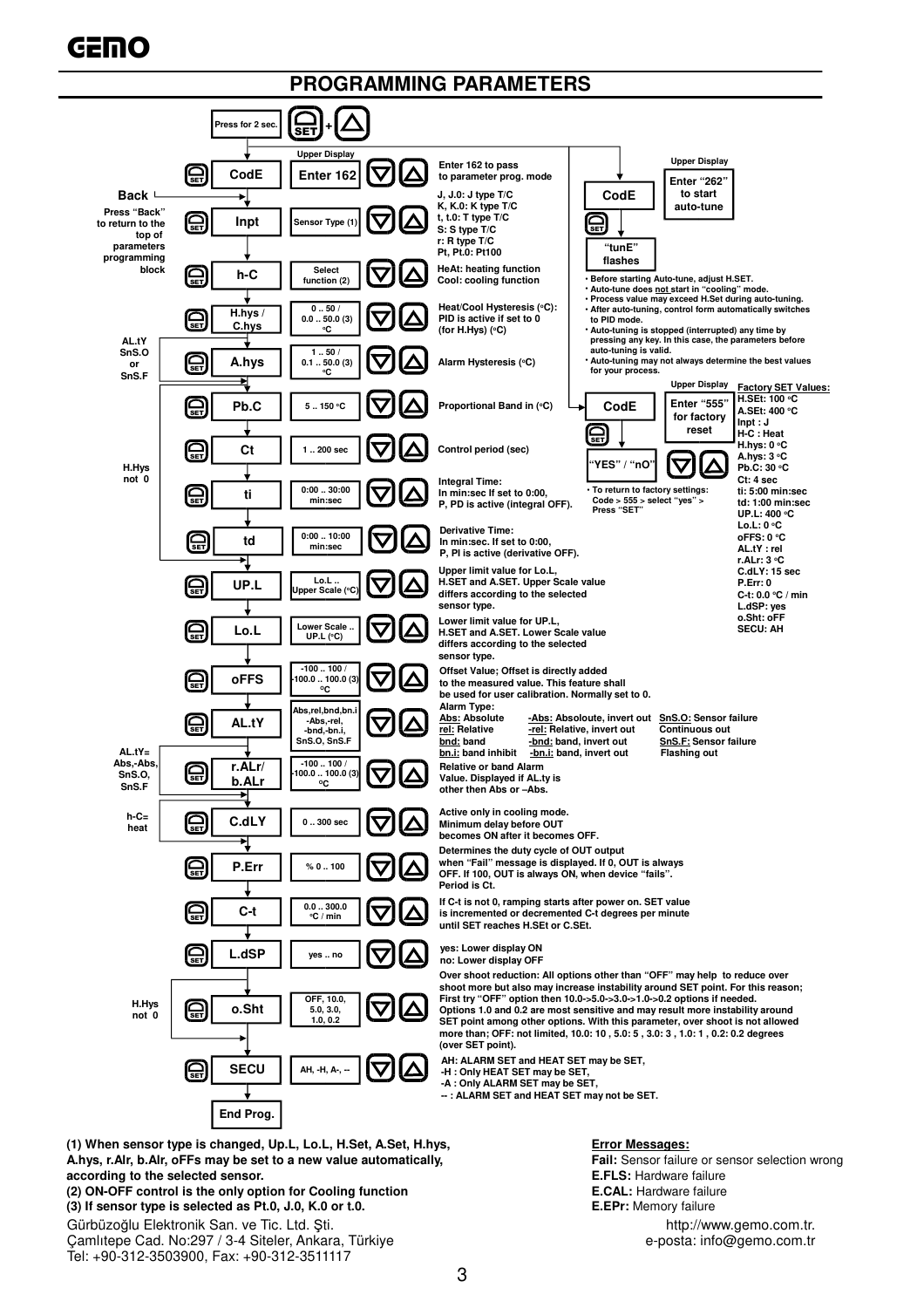#### **PROGRAMMING PARAMETERS**



**(1) When sensor type is changed, Up.L, Lo.L, H.Set, A.Set, H.hys, Error Messages: A.hys, r.Alr, b.Alr, oFFs may be set to a new value automatically, Fail:** Sensor failure or sensor selection wrong<br> **A.hys, r.Alr, b.Alr, oFFs may be set to a new value automatically, Face Sensor Failure or sensor selecti** according to the selected sensor.

**(2) ON-OFF control is the only option for Cooling function E.CAL:** Hardware failure **(3) If sensor type is selected as Pt.0, J.0, K.0 or t.0. E.EPr:** Memory failure

Gürbüzoğlu Elektronik San. ve Tic. Ltd. Şti. http://www.gemo.com.tr. http://www.gemo.com.tr. http://www.gemo.com.tr<br>Camlitepe Cad. No:297 / 3-4 Siteler, Ankara, Türkiye betalerinin betalerinin e-posta: info@gemo.com.tr Camlıtepe Cad. No:297 / 3-4 Siteler, Ankara, Türkiye

Tel: +90-312-3503900, Fax: +90-312-3511117